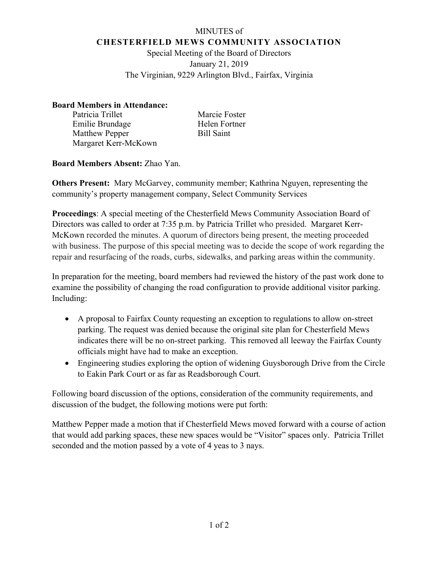## MINUTES of **CHESTERFIELD MEWS COMMUNITY ASSOCIATION**

Special Meeting of the Board of Directors January 21, 2019 The Virginian, 9229 Arlington Blvd., Fairfax, Virginia

## **Board Members in Attendance:**

Patricia Trillet Marcie Foster Emilie Brundage Helen Fortner Matthew Pepper Bill Saint Margaret Kerr-McKown

**Board Members Absent:** Zhao Yan.

**Others Present:** Mary McGarvey, community member; Kathrina Nguyen, representing the community's property management company, Select Community Services

**Proceedings**: A special meeting of the Chesterfield Mews Community Association Board of Directors was called to order at 7:35 p.m. by Patricia Trillet who presided. Margaret Kerr-McKown recorded the minutes. A quorum of directors being present, the meeting proceeded with business. The purpose of this special meeting was to decide the scope of work regarding the repair and resurfacing of the roads, curbs, sidewalks, and parking areas within the community.

In preparation for the meeting, board members had reviewed the history of the past work done to examine the possibility of changing the road configuration to provide additional visitor parking. Including:

- A proposal to Fairfax County requesting an exception to regulations to allow on-street parking. The request was denied because the original site plan for Chesterfield Mews indicates there will be no on-street parking. This removed all leeway the Fairfax County officials might have had to make an exception.
- Engineering studies exploring the option of widening Guysborough Drive from the Circle to Eakin Park Court or as far as Readsborough Court.

Following board discussion of the options, consideration of the community requirements, and discussion of the budget, the following motions were put forth:

Matthew Pepper made a motion that if Chesterfield Mews moved forward with a course of action that would add parking spaces, these new spaces would be "Visitor" spaces only. Patricia Trillet seconded and the motion passed by a vote of 4 yeas to 3 nays.